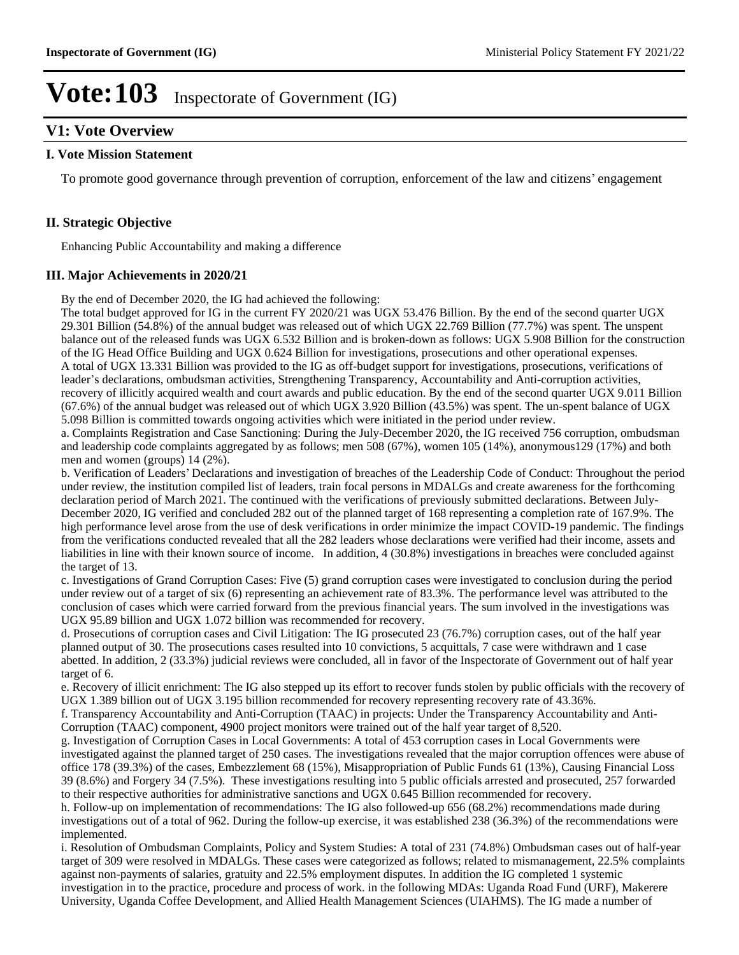## **V1: Vote Overview**

#### **I. Vote Mission Statement**

To promote good governance through prevention of corruption, enforcement of the law and citizens' engagement

### **II. Strategic Objective**

Enhancing Public Accountability and making a difference

#### **III. Major Achievements in 2020/21**

By the end of December 2020, the IG had achieved the following:

The total budget approved for IG in the current FY 2020/21 was UGX 53.476 Billion. By the end of the second quarter UGX 29.301 Billion (54.8%) of the annual budget was released out of which UGX 22.769 Billion (77.7%) was spent. The unspent balance out of the released funds was UGX 6.532 Billion and is broken-down as follows: UGX 5.908 Billion for the construction of the IG Head Office Building and UGX 0.624 Billion for investigations, prosecutions and other operational expenses. A total of UGX 13.331 Billion was provided to the IG as off-budget support for investigations, prosecutions, verifications of leader's declarations, ombudsman activities, Strengthening Transparency, Accountability and Anti-corruption activities, recovery of illicitly acquired wealth and court awards and public education. By the end of the second quarter UGX 9.011 Billion (67.6%) of the annual budget was released out of which UGX 3.920 Billion (43.5%) was spent. The un-spent balance of UGX 5.098 Billion is committed towards ongoing activities which were initiated in the period under review.

a. Complaints Registration and Case Sanctioning: During the July-December 2020, the IG received 756 corruption, ombudsman and leadership code complaints aggregated by as follows; men 508 (67%), women 105 (14%), anonymous129 (17%) and both men and women (groups) 14 (2%).

b. Verification of Leaders' Declarations and investigation of breaches of the Leadership Code of Conduct: Throughout the period under review, the institution compiled list of leaders, train focal persons in MDALGs and create awareness for the forthcoming declaration period of March 2021. The continued with the verifications of previously submitted declarations. Between July-December 2020, IG verified and concluded 282 out of the planned target of 168 representing a completion rate of 167.9%. The high performance level arose from the use of desk verifications in order minimize the impact COVID-19 pandemic. The findings from the verifications conducted revealed that all the 282 leaders whose declarations were verified had their income, assets and liabilities in line with their known source of income. In addition, 4 (30.8%) investigations in breaches were concluded against the target of 13.

c. Investigations of Grand Corruption Cases: Five (5) grand corruption cases were investigated to conclusion during the period under review out of a target of six (6) representing an achievement rate of 83.3%. The performance level was attributed to the conclusion of cases which were carried forward from the previous financial years. The sum involved in the investigations was UGX 95.89 billion and UGX 1.072 billion was recommended for recovery.

d. Prosecutions of corruption cases and Civil Litigation: The IG prosecuted 23 (76.7%) corruption cases, out of the half year planned output of 30. The prosecutions cases resulted into 10 convictions, 5 acquittals, 7 case were withdrawn and 1 case abetted. In addition, 2 (33.3%) judicial reviews were concluded, all in favor of the Inspectorate of Government out of half year target of 6.

e. Recovery of illicit enrichment: The IG also stepped up its effort to recover funds stolen by public officials with the recovery of UGX 1.389 billion out of UGX 3.195 billion recommended for recovery representing recovery rate of 43.36%.

f. Transparency Accountability and Anti-Corruption (TAAC) in projects: Under the Transparency Accountability and Anti-Corruption (TAAC) component, 4900 project monitors were trained out of the half year target of 8,520.

g. Investigation of Corruption Cases in Local Governments: A total of 453 corruption cases in Local Governments were investigated against the planned target of 250 cases. The investigations revealed that the major corruption offences were abuse of office 178 (39.3%) of the cases, Embezzlement 68 (15%), Misappropriation of Public Funds 61 (13%), Causing Financial Loss 39 (8.6%) and Forgery 34 (7.5%). These investigations resulting into 5 public officials arrested and prosecuted, 257 forwarded to their respective authorities for administrative sanctions and UGX 0.645 Billion recommended for recovery.

h. Follow-up on implementation of recommendations: The IG also followed-up 656 (68.2%) recommendations made during investigations out of a total of 962. During the follow-up exercise, it was established 238 (36.3%) of the recommendations were implemented.

i. Resolution of Ombudsman Complaints, Policy and System Studies: A total of 231 (74.8%) Ombudsman cases out of half-year target of 309 were resolved in MDALGs. These cases were categorized as follows; related to mismanagement, 22.5% complaints against non-payments of salaries, gratuity and 22.5% employment disputes. In addition the IG completed 1 systemic investigation in to the practice, procedure and process of work. in the following MDAs: Uganda Road Fund (URF), Makerere University, Uganda Coffee Development, and Allied Health Management Sciences (UIAHMS). The IG made a number of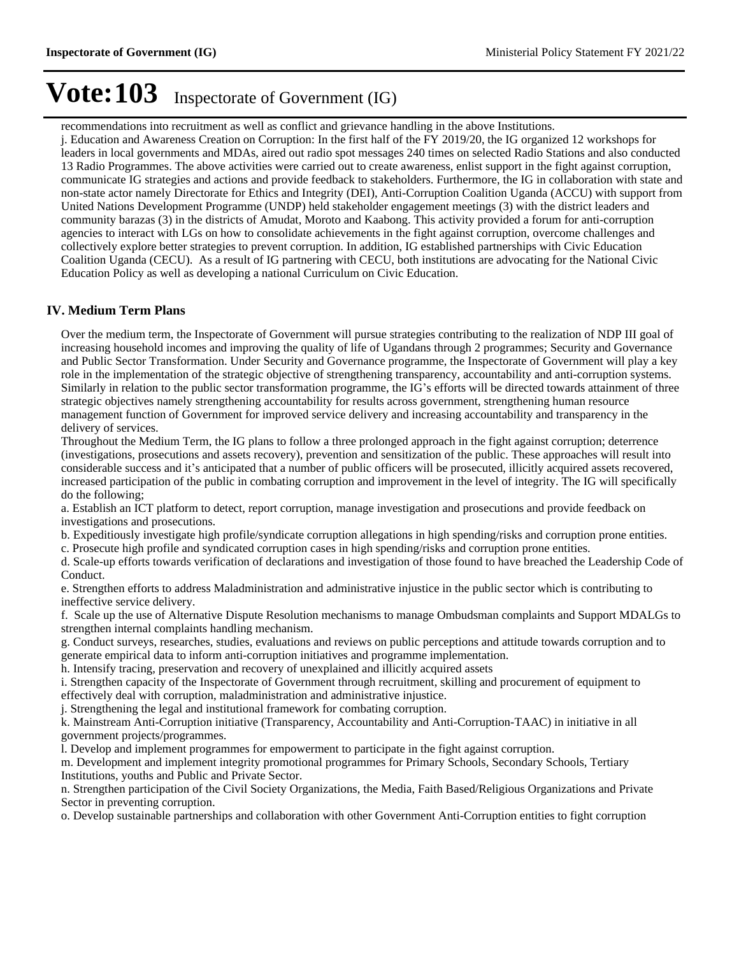recommendations into recruitment as well as conflict and grievance handling in the above Institutions.

j. Education and Awareness Creation on Corruption: In the first half of the FY 2019/20, the IG organized 12 workshops for leaders in local governments and MDAs, aired out radio spot messages 240 times on selected Radio Stations and also conducted 13 Radio Programmes. The above activities were carried out to create awareness, enlist support in the fight against corruption, communicate IG strategies and actions and provide feedback to stakeholders. Furthermore, the IG in collaboration with state and non-state actor namely Directorate for Ethics and Integrity (DEI), Anti-Corruption Coalition Uganda (ACCU) with support from United Nations Development Programme (UNDP) held stakeholder engagement meetings (3) with the district leaders and community barazas (3) in the districts of Amudat, Moroto and Kaabong. This activity provided a forum for anti-corruption agencies to interact with LGs on how to consolidate achievements in the fight against corruption, overcome challenges and collectively explore better strategies to prevent corruption. In addition, IG established partnerships with Civic Education Coalition Uganda (CECU). As a result of IG partnering with CECU, both institutions are advocating for the National Civic Education Policy as well as developing a national Curriculum on Civic Education.

### **IV. Medium Term Plans**

Over the medium term, the Inspectorate of Government will pursue strategies contributing to the realization of NDP III goal of increasing household incomes and improving the quality of life of Ugandans through 2 programmes; Security and Governance and Public Sector Transformation. Under Security and Governance programme, the Inspectorate of Government will play a key role in the implementation of the strategic objective of strengthening transparency, accountability and anti-corruption systems. Similarly in relation to the public sector transformation programme, the IG's efforts will be directed towards attainment of three strategic objectives namely strengthening accountability for results across government, strengthening human resource management function of Government for improved service delivery and increasing accountability and transparency in the delivery of services.

Throughout the Medium Term, the IG plans to follow a three prolonged approach in the fight against corruption; deterrence (investigations, prosecutions and assets recovery), prevention and sensitization of the public. These approaches will result into considerable success and it's anticipated that a number of public officers will be prosecuted, illicitly acquired assets recovered, increased participation of the public in combating corruption and improvement in the level of integrity. The IG will specifically do the following;

a. Establish an ICT platform to detect, report corruption, manage investigation and prosecutions and provide feedback on investigations and prosecutions.

b. Expeditiously investigate high profile/syndicate corruption allegations in high spending/risks and corruption prone entities.

c. Prosecute high profile and syndicated corruption cases in high spending/risks and corruption prone entities.

d. Scale-up efforts towards verification of declarations and investigation of those found to have breached the Leadership Code of Conduct.

e. Strengthen efforts to address Maladministration and administrative injustice in the public sector which is contributing to ineffective service delivery.

f. Scale up the use of Alternative Dispute Resolution mechanisms to manage Ombudsman complaints and Support MDALGs to strengthen internal complaints handling mechanism.

g. Conduct surveys, researches, studies, evaluations and reviews on public perceptions and attitude towards corruption and to generate empirical data to inform anti-corruption initiatives and programme implementation.

h. Intensify tracing, preservation and recovery of unexplained and illicitly acquired assets

i. Strengthen capacity of the Inspectorate of Government through recruitment, skilling and procurement of equipment to effectively deal with corruption, maladministration and administrative injustice.

j. Strengthening the legal and institutional framework for combating corruption.

k. Mainstream Anti-Corruption initiative (Transparency, Accountability and Anti-Corruption-TAAC) in initiative in all government projects/programmes.

l. Develop and implement programmes for empowerment to participate in the fight against corruption.

m. Development and implement integrity promotional programmes for Primary Schools, Secondary Schools, Tertiary Institutions, youths and Public and Private Sector.

n. Strengthen participation of the Civil Society Organizations, the Media, Faith Based/Religious Organizations and Private Sector in preventing corruption.

o. Develop sustainable partnerships and collaboration with other Government Anti-Corruption entities to fight corruption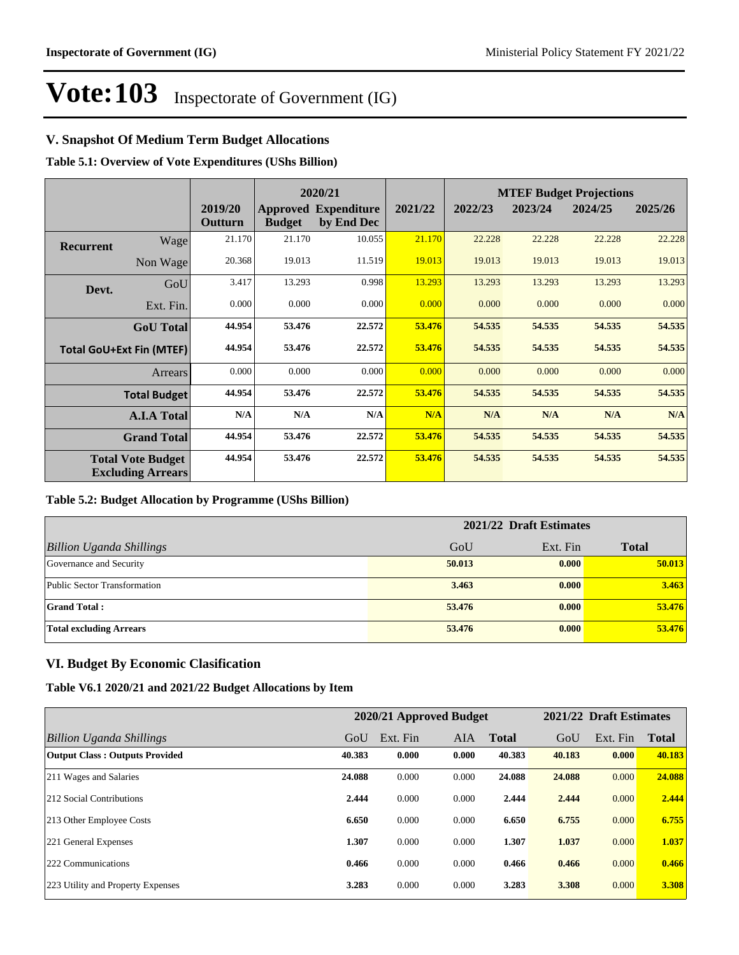## **V. Snapshot Of Medium Term Budget Allocations**

**Table 5.1: Overview of Vote Expenditures (UShs Billion)**

|                  |                                                      |                    |               | 2020/21                                   |         |         |         | <b>MTEF Budget Projections</b> |         |
|------------------|------------------------------------------------------|--------------------|---------------|-------------------------------------------|---------|---------|---------|--------------------------------|---------|
|                  |                                                      | 2019/20<br>Outturn | <b>Budget</b> | <b>Approved Expenditure</b><br>by End Dec | 2021/22 | 2022/23 | 2023/24 | 2024/25                        | 2025/26 |
| <b>Recurrent</b> | Wage                                                 | 21.170             | 21.170        | 10.055                                    | 21.170  | 22.228  | 22.228  | 22.228                         | 22.228  |
|                  | Non Wage                                             | 20.368             | 19.013        | 11.519                                    | 19.013  | 19.013  | 19.013  | 19.013                         | 19.013  |
| Devt.            | GoU                                                  | 3.417              | 13.293        | 0.998                                     | 13.293  | 13.293  | 13.293  | 13.293                         | 13.293  |
|                  | Ext. Fin.                                            | 0.000              | 0.000         | 0.000                                     | 0.000   | 0.000   | 0.000   | 0.000                          | 0.000   |
|                  | <b>GoU</b> Total                                     | 44.954             | 53.476        | 22,572                                    | 53.476  | 54.535  | 54.535  | 54.535                         | 54.535  |
|                  | <b>Total GoU+Ext Fin (MTEF)</b>                      | 44.954             | 53.476        | 22.572                                    | 53.476  | 54.535  | 54.535  | 54.535                         | 54.535  |
|                  | Arrears                                              | 0.000              | 0.000         | 0.000                                     | 0.000   | 0.000   | 0.000   | 0.000                          | 0.000   |
|                  | <b>Total Budget</b>                                  | 44.954             | 53.476        | 22,572                                    | 53.476  | 54.535  | 54.535  | 54.535                         | 54.535  |
|                  | <b>A.I.A Total</b>                                   | N/A                | N/A           | N/A                                       | N/A     | N/A     | N/A     | N/A                            | N/A     |
|                  | <b>Grand Total</b>                                   | 44.954             | 53.476        | 22.572                                    | 53.476  | 54.535  | 54.535  | 54.535                         | 54.535  |
|                  | <b>Total Vote Budget</b><br><b>Excluding Arrears</b> | 44.954             | 53.476        | 22.572                                    | 53.476  | 54.535  | 54.535  | 54.535                         | 54.535  |

#### **Table 5.2: Budget Allocation by Programme (UShs Billion)**

|                                 |        | 2021/22 Draft Estimates |              |
|---------------------------------|--------|-------------------------|--------------|
| <b>Billion Uganda Shillings</b> | GoU    | Ext. Fin                | <b>Total</b> |
| Governance and Security         | 50.013 | 0.000                   | 50.013       |
| Public Sector Transformation    | 3.463  | 0.000                   | 3.463        |
| <b>Grand Total:</b>             | 53.476 | 0.000                   | 53.476       |
| <b>Total excluding Arrears</b>  | 53,476 | 0.000                   | 53.476       |

### **VI. Budget By Economic Clasification**

#### **Table V6.1 2020/21 and 2021/22 Budget Allocations by Item**

|                                       |        | 2020/21 Approved Budget |       |              |        | 2021/22 Draft Estimates |              |
|---------------------------------------|--------|-------------------------|-------|--------------|--------|-------------------------|--------------|
| Billion Uganda Shillings              | GoU    | Ext. Fin                | AIA   | <b>Total</b> | GoU    | Ext. Fin                | <b>Total</b> |
| <b>Output Class: Outputs Provided</b> | 40.383 | 0.000                   | 0.000 | 40.383       | 40.183 | 0.000                   | 40.183       |
| 211 Wages and Salaries                | 24.088 | 0.000                   | 0.000 | 24.088       | 24.088 | 0.000                   | 24.088       |
| 212 Social Contributions              | 2.444  | 0.000                   | 0.000 | 2.444        | 2.444  | 0.000                   | 2.444        |
| 213 Other Employee Costs              | 6.650  | 0.000                   | 0.000 | 6.650        | 6.755  | 0.000                   | 6.755        |
| 221 General Expenses                  | 1.307  | 0.000                   | 0.000 | 1.307        | 1.037  | 0.000                   | 1.037        |
| 222 Communications                    | 0.466  | 0.000                   | 0.000 | 0.466        | 0.466  | 0.000                   | 0.466        |
| 223 Utility and Property Expenses     | 3.283  | 0.000                   | 0.000 | 3.283        | 3.308  | 0.000                   | 3.308        |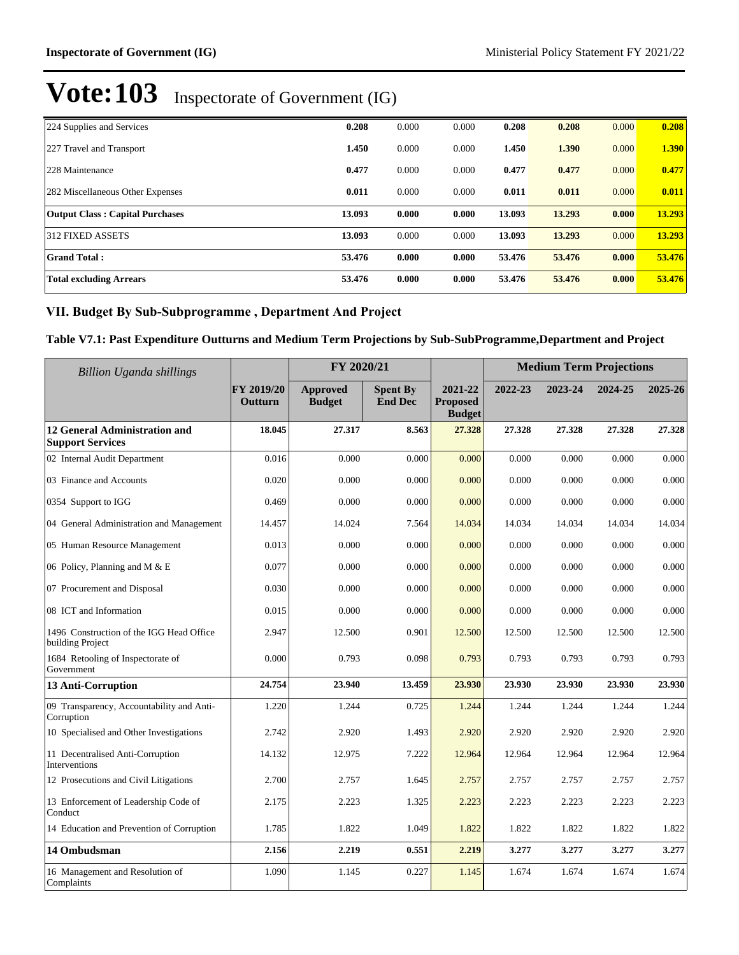| 224 Supplies and Services              | 0.208  | 0.000 | 0.000 | 0.208  | 0.208  | 0.000 | 0.208  |
|----------------------------------------|--------|-------|-------|--------|--------|-------|--------|
| 227 Travel and Transport               | 1.450  | 0.000 | 0.000 | 1.450  | 1.390  | 0.000 | 1.390  |
| 228 Maintenance                        | 0.477  | 0.000 | 0.000 | 0.477  | 0.477  | 0.000 | 0.477  |
| 282 Miscellaneous Other Expenses       | 0.011  | 0.000 | 0.000 | 0.011  | 0.011  | 0.000 | 0.011  |
| <b>Output Class: Capital Purchases</b> | 13.093 | 0.000 | 0.000 | 13.093 | 13.293 | 0.000 | 13.293 |
| 312 FIXED ASSETS                       | 13.093 | 0.000 | 0.000 | 13.093 | 13.293 | 0.000 | 13.293 |
| <b>Grand Total:</b>                    | 53.476 | 0.000 | 0.000 | 53.476 | 53,476 | 0.000 | 53.476 |
| <b>Total excluding Arrears</b>         | 53.476 | 0.000 | 0.000 | 53.476 | 53,476 | 0.000 | 53.476 |

## VII. Budget By Sub-Subprogramme, Department And Project

## **Table V7.1: Past Expenditure Outturns and Medium Term Projections by Sub-SubProgramme,Department and Project**

| <b>Billion Uganda shillings</b>                                 | FY 2020/21            |                                  |                                   |                                             | <b>Medium Term Projections</b> |         |         |         |
|-----------------------------------------------------------------|-----------------------|----------------------------------|-----------------------------------|---------------------------------------------|--------------------------------|---------|---------|---------|
|                                                                 | FY 2019/20<br>Outturn | <b>Approved</b><br><b>Budget</b> | <b>Spent By</b><br><b>End Dec</b> | 2021-22<br><b>Proposed</b><br><b>Budget</b> | 2022-23                        | 2023-24 | 2024-25 | 2025-26 |
| <b>12 General Administration and</b><br><b>Support Services</b> | 18.045                | 27.317                           | 8.563                             | 27.328                                      | 27.328                         | 27.328  | 27.328  | 27.328  |
| 02 Internal Audit Department                                    | 0.016                 | 0.000                            | 0.000                             | 0.000                                       | 0.000                          | 0.000   | 0.000   | 0.000   |
| 03 Finance and Accounts                                         | 0.020                 | 0.000                            | 0.000                             | 0.000                                       | 0.000                          | 0.000   | 0.000   | 0.000   |
| 0354 Support to IGG                                             | 0.469                 | 0.000                            | 0.000                             | 0.000                                       | 0.000                          | 0.000   | 0.000   | 0.000   |
| 04 General Administration and Management                        | 14.457                | 14.024                           | 7.564                             | 14.034                                      | 14.034                         | 14.034  | 14.034  | 14.034  |
| 05 Human Resource Management                                    | 0.013                 | 0.000                            | 0.000                             | 0.000                                       | 0.000                          | 0.000   | 0.000   | 0.000   |
| 06 Policy, Planning and M & E                                   | 0.077                 | 0.000                            | 0.000                             | 0.000                                       | 0.000                          | 0.000   | 0.000   | 0.000   |
| 07 Procurement and Disposal                                     | 0.030                 | 0.000                            | 0.000                             | 0.000                                       | 0.000                          | 0.000   | 0.000   | 0.000   |
| 08 ICT and Information                                          | 0.015                 | 0.000                            | 0.000                             | 0.000                                       | 0.000                          | 0.000   | 0.000   | 0.000   |
| 1496 Construction of the IGG Head Office<br>building Project    | 2.947                 | 12.500                           | 0.901                             | 12.500                                      | 12.500                         | 12.500  | 12.500  | 12.500  |
| 1684 Retooling of Inspectorate of<br>Government                 | 0.000                 | 0.793                            | 0.098                             | 0.793                                       | 0.793                          | 0.793   | 0.793   | 0.793   |
| 13 Anti-Corruption                                              | 24.754                | 23.940                           | 13.459                            | 23.930                                      | 23.930                         | 23.930  | 23.930  | 23.930  |
| 09 Transparency, Accountability and Anti-<br>Corruption         | 1.220                 | 1.244                            | 0.725                             | 1.244                                       | 1.244                          | 1.244   | 1.244   | 1.244   |
| 10 Specialised and Other Investigations                         | 2.742                 | 2.920                            | 1.493                             | 2.920                                       | 2.920                          | 2.920   | 2.920   | 2.920   |
| 11 Decentralised Anti-Corruption<br>Interventions               | 14.132                | 12.975                           | 7.222                             | 12.964                                      | 12.964                         | 12.964  | 12.964  | 12.964  |
| 12 Prosecutions and Civil Litigations                           | 2.700                 | 2.757                            | 1.645                             | 2.757                                       | 2.757                          | 2.757   | 2.757   | 2.757   |
| 13 Enforcement of Leadership Code of<br>Conduct                 | 2.175                 | 2.223                            | 1.325                             | 2.223                                       | 2.223                          | 2.223   | 2.223   | 2.223   |
| 14 Education and Prevention of Corruption                       | 1.785                 | 1.822                            | 1.049                             | 1.822                                       | 1.822                          | 1.822   | 1.822   | 1.822   |
| 14 Ombudsman                                                    | 2.156                 | 2.219                            | 0.551                             | 2.219                                       | 3.277                          | 3.277   | 3.277   | 3.277   |
| 16 Management and Resolution of<br>Complaints                   | 1.090                 | 1.145                            | 0.227                             | 1.145                                       | 1.674                          | 1.674   | 1.674   | 1.674   |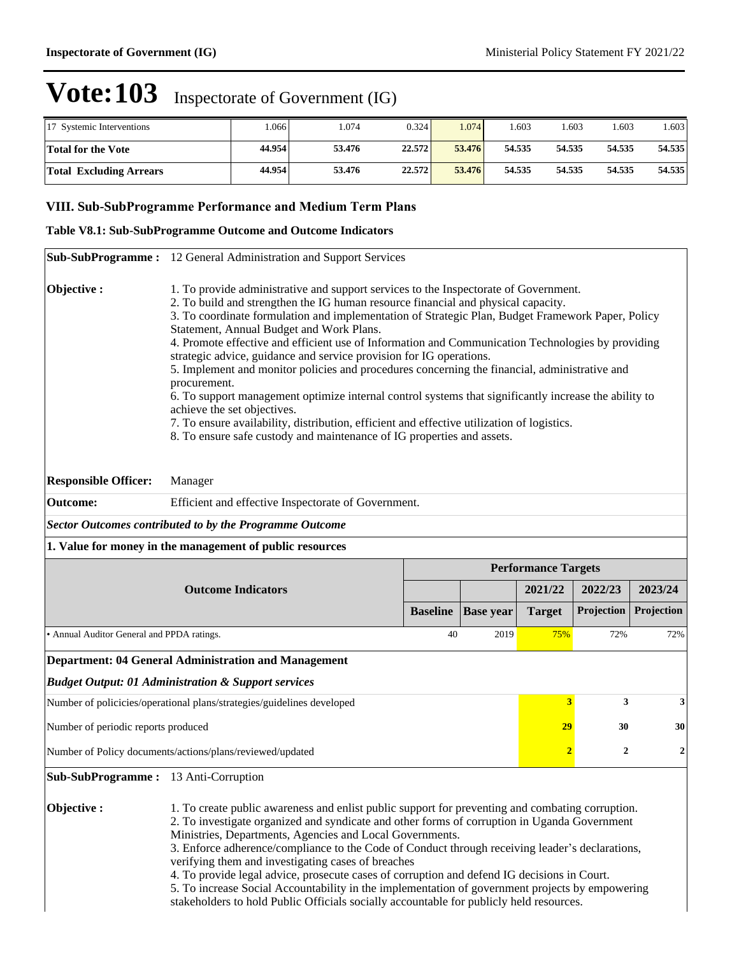| 17 Systemic Interventions      | .066   | .074   | 0.3241 | .074   | .603   | 1.603  | .603   | .603   |
|--------------------------------|--------|--------|--------|--------|--------|--------|--------|--------|
| <b>Total for the Vote</b>      | 44.954 | 53.476 | 22.572 | 53.476 | 54.535 | 54.535 | 54.535 | 54.535 |
| <b>Total Excluding Arrears</b> | 44.954 | 53.476 | 22.572 | 53.476 | 54.535 | 54.535 | 54.535 | 54.535 |

### **VIII. Sub-SubProgramme Performance and Medium Term Plans**

#### **Table V8.1: Sub-SubProgramme Outcome and Outcome Indicators**

|                                                                                                                                                                                                                                                                                                                                                                                                                                                                                                                                                                                                                                                                                                                                  | Sub-SubProgramme: 12 General Administration and Support Services                                                                                                                                                                                                                                                                                                                                                                                                                                                                                                                                                                                                                                                                                                                                                                                                                                                                        |                 |                  |                            |                  |                  |
|----------------------------------------------------------------------------------------------------------------------------------------------------------------------------------------------------------------------------------------------------------------------------------------------------------------------------------------------------------------------------------------------------------------------------------------------------------------------------------------------------------------------------------------------------------------------------------------------------------------------------------------------------------------------------------------------------------------------------------|-----------------------------------------------------------------------------------------------------------------------------------------------------------------------------------------------------------------------------------------------------------------------------------------------------------------------------------------------------------------------------------------------------------------------------------------------------------------------------------------------------------------------------------------------------------------------------------------------------------------------------------------------------------------------------------------------------------------------------------------------------------------------------------------------------------------------------------------------------------------------------------------------------------------------------------------|-----------------|------------------|----------------------------|------------------|------------------|
| Objective:                                                                                                                                                                                                                                                                                                                                                                                                                                                                                                                                                                                                                                                                                                                       | 1. To provide administrative and support services to the Inspectorate of Government.<br>2. To build and strengthen the IG human resource financial and physical capacity.<br>3. To coordinate formulation and implementation of Strategic Plan, Budget Framework Paper, Policy<br>Statement, Annual Budget and Work Plans.<br>4. Promote effective and efficient use of Information and Communication Technologies by providing<br>strategic advice, guidance and service provision for IG operations.<br>5. Implement and monitor policies and procedures concerning the financial, administrative and<br>procurement.<br>6. To support management optimize internal control systems that significantly increase the ability to<br>achieve the set objectives.<br>7. To ensure availability, distribution, efficient and effective utilization of logistics.<br>8. To ensure safe custody and maintenance of IG properties and assets. |                 |                  |                            |                  |                  |
| <b>Responsible Officer:</b>                                                                                                                                                                                                                                                                                                                                                                                                                                                                                                                                                                                                                                                                                                      | Manager                                                                                                                                                                                                                                                                                                                                                                                                                                                                                                                                                                                                                                                                                                                                                                                                                                                                                                                                 |                 |                  |                            |                  |                  |
| <b>Outcome:</b>                                                                                                                                                                                                                                                                                                                                                                                                                                                                                                                                                                                                                                                                                                                  | Efficient and effective Inspectorate of Government.                                                                                                                                                                                                                                                                                                                                                                                                                                                                                                                                                                                                                                                                                                                                                                                                                                                                                     |                 |                  |                            |                  |                  |
|                                                                                                                                                                                                                                                                                                                                                                                                                                                                                                                                                                                                                                                                                                                                  | <b>Sector Outcomes contributed to by the Programme Outcome</b>                                                                                                                                                                                                                                                                                                                                                                                                                                                                                                                                                                                                                                                                                                                                                                                                                                                                          |                 |                  |                            |                  |                  |
|                                                                                                                                                                                                                                                                                                                                                                                                                                                                                                                                                                                                                                                                                                                                  | 1. Value for money in the management of public resources                                                                                                                                                                                                                                                                                                                                                                                                                                                                                                                                                                                                                                                                                                                                                                                                                                                                                |                 |                  |                            |                  |                  |
|                                                                                                                                                                                                                                                                                                                                                                                                                                                                                                                                                                                                                                                                                                                                  |                                                                                                                                                                                                                                                                                                                                                                                                                                                                                                                                                                                                                                                                                                                                                                                                                                                                                                                                         |                 |                  | <b>Performance Targets</b> |                  |                  |
|                                                                                                                                                                                                                                                                                                                                                                                                                                                                                                                                                                                                                                                                                                                                  | <b>Outcome Indicators</b>                                                                                                                                                                                                                                                                                                                                                                                                                                                                                                                                                                                                                                                                                                                                                                                                                                                                                                               |                 |                  | 2021/22                    | 2022/23          | 2023/24          |
|                                                                                                                                                                                                                                                                                                                                                                                                                                                                                                                                                                                                                                                                                                                                  |                                                                                                                                                                                                                                                                                                                                                                                                                                                                                                                                                                                                                                                                                                                                                                                                                                                                                                                                         | <b>Baseline</b> | <b>Base year</b> | <b>Target</b>              | Projection       | Projection       |
| • Annual Auditor General and PPDA ratings.                                                                                                                                                                                                                                                                                                                                                                                                                                                                                                                                                                                                                                                                                       |                                                                                                                                                                                                                                                                                                                                                                                                                                                                                                                                                                                                                                                                                                                                                                                                                                                                                                                                         | 40              | 2019             | 75%                        | 72%              | 72%              |
|                                                                                                                                                                                                                                                                                                                                                                                                                                                                                                                                                                                                                                                                                                                                  | <b>Department: 04 General Administration and Management</b>                                                                                                                                                                                                                                                                                                                                                                                                                                                                                                                                                                                                                                                                                                                                                                                                                                                                             |                 |                  |                            |                  |                  |
|                                                                                                                                                                                                                                                                                                                                                                                                                                                                                                                                                                                                                                                                                                                                  | <b>Budget Output: 01 Administration &amp; Support services</b>                                                                                                                                                                                                                                                                                                                                                                                                                                                                                                                                                                                                                                                                                                                                                                                                                                                                          |                 |                  |                            |                  |                  |
|                                                                                                                                                                                                                                                                                                                                                                                                                                                                                                                                                                                                                                                                                                                                  | Number of policicies/operational plans/strategies/guidelines developed                                                                                                                                                                                                                                                                                                                                                                                                                                                                                                                                                                                                                                                                                                                                                                                                                                                                  |                 |                  | 3                          | 3                | 3                |
| Number of periodic reports produced                                                                                                                                                                                                                                                                                                                                                                                                                                                                                                                                                                                                                                                                                              |                                                                                                                                                                                                                                                                                                                                                                                                                                                                                                                                                                                                                                                                                                                                                                                                                                                                                                                                         |                 |                  | 29                         | 30               | 30               |
|                                                                                                                                                                                                                                                                                                                                                                                                                                                                                                                                                                                                                                                                                                                                  | Number of Policy documents/actions/plans/reviewed/updated                                                                                                                                                                                                                                                                                                                                                                                                                                                                                                                                                                                                                                                                                                                                                                                                                                                                               |                 |                  | $\overline{2}$             | $\boldsymbol{2}$ | $\boldsymbol{2}$ |
| Sub-SubProgramme: 13 Anti-Corruption                                                                                                                                                                                                                                                                                                                                                                                                                                                                                                                                                                                                                                                                                             |                                                                                                                                                                                                                                                                                                                                                                                                                                                                                                                                                                                                                                                                                                                                                                                                                                                                                                                                         |                 |                  |                            |                  |                  |
| Objective:<br>1. To create public awareness and enlist public support for preventing and combating corruption.<br>2. To investigate organized and syndicate and other forms of corruption in Uganda Government<br>Ministries, Departments, Agencies and Local Governments.<br>3. Enforce adherence/compliance to the Code of Conduct through receiving leader's declarations,<br>verifying them and investigating cases of breaches<br>4. To provide legal advice, prosecute cases of corruption and defend IG decisions in Court.<br>5. To increase Social Accountability in the implementation of government projects by empowering<br>stakeholders to hold Public Officials socially accountable for publicly held resources. |                                                                                                                                                                                                                                                                                                                                                                                                                                                                                                                                                                                                                                                                                                                                                                                                                                                                                                                                         |                 |                  |                            |                  |                  |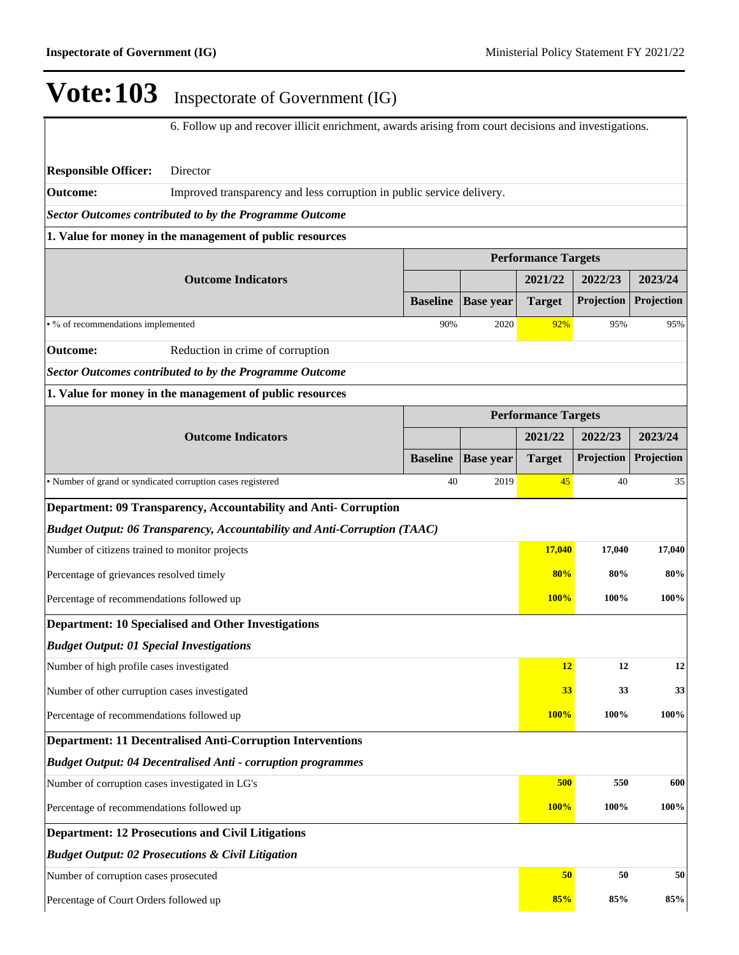6. Follow up and recover illicit enrichment, awards arising from court decisions and investigations. **Responsible Officer:** Director **Outcome:** Improved transparency and less corruption in public service delivery. *Sector Outcomes contributed to by the Programme Outcome* **1. Value for money in the management of public resources Performance Targets Outcome Indicators 2021/22 2022/23 2023/24 Baseline Base year Target Projection Projection** • % of recommendations implemented  $\frac{90\%}{2020}$  92% 95% 95% 95% **Outcome:** Reduction in crime of corruption *Sector Outcomes contributed to by the Programme Outcome* **1. Value for money in the management of public resources Performance Targets Outcome Indicators 2021/22 2022/23 2023/24 Baseline Base year Target Projection Projection** • Number of grand or syndicated corruption cases registered 40 2019 45 40 35 **Department: 09 Transparency, Accountability and Anti- Corruption** *Budget Output: 06 Transparency, Accountability and Anti-Corruption (TAAC)* Number of citizens trained to monitor projects **17,040 17,040 17,040** Percentage of grievances resolved timely **80% 80% 80% 80% 80% 80% 80%** Percentage of recommendations followed up **100% 100% 100% Department: 10 Specialised and Other Investigations** *Budget Output: 01 Special Investigations* Number of high profile cases investigated **12 12 12 12 12 12 12** Number of other curruption cases investigated **33 33 33 33 33** Percentage of recommendations followed up **100% 100% 100% 100% 100% 100% Department: 11 Decentralised Anti-Corruption Interventions** *Budget Output: 04 Decentralised Anti - corruption programmes* Number of corruption cases investigated in LG's **500 550 550 600 550 600** Percentage of recommendations followed up **100% 100% 100% Department: 12 Prosecutions and Civil Litigations** *Budget Output: 02 Prosecutions & Civil Litigation* Number of corruption cases prosecuted **50 50 50**

Percentage of Court Orders followed up **85% 85% 85%**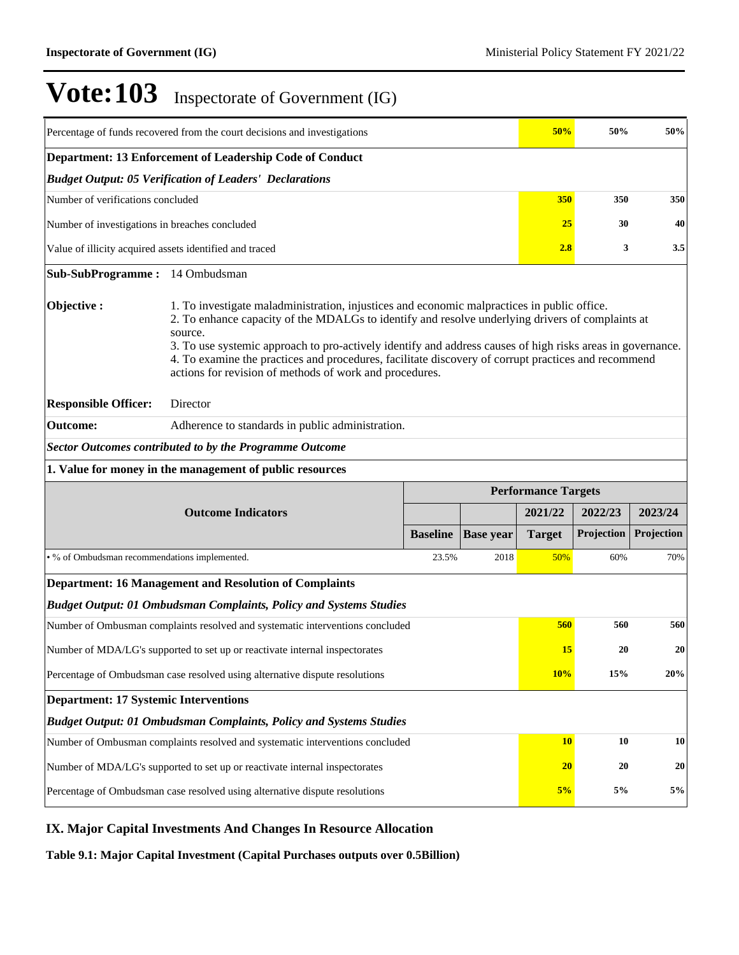| Percentage of funds recovered from the court decisions and investigations |                                                                                                                                                                                                                                                                                                                                                                                                                                                                                            |                 |                  | 50%                        | 50%        | 50%        |
|---------------------------------------------------------------------------|--------------------------------------------------------------------------------------------------------------------------------------------------------------------------------------------------------------------------------------------------------------------------------------------------------------------------------------------------------------------------------------------------------------------------------------------------------------------------------------------|-----------------|------------------|----------------------------|------------|------------|
| Department: 13 Enforcement of Leadership Code of Conduct                  |                                                                                                                                                                                                                                                                                                                                                                                                                                                                                            |                 |                  |                            |            |            |
|                                                                           | <b>Budget Output: 05 Verification of Leaders' Declarations</b>                                                                                                                                                                                                                                                                                                                                                                                                                             |                 |                  |                            |            |            |
| Number of verifications concluded                                         |                                                                                                                                                                                                                                                                                                                                                                                                                                                                                            |                 |                  |                            | 350        | 350        |
| 25<br>30<br>Number of investigations in breaches concluded                |                                                                                                                                                                                                                                                                                                                                                                                                                                                                                            |                 |                  |                            |            | 40         |
| Value of illicity acquired assets identified and traced<br>2.8<br>3       |                                                                                                                                                                                                                                                                                                                                                                                                                                                                                            |                 |                  |                            |            | 3.5        |
| Sub-SubProgramme: 14 Ombudsman                                            |                                                                                                                                                                                                                                                                                                                                                                                                                                                                                            |                 |                  |                            |            |            |
| Objective:                                                                | 1. To investigate maladministration, injustices and economic malpractices in public office.<br>2. To enhance capacity of the MDALGs to identify and resolve underlying drivers of complaints at<br>source.<br>3. To use systemic approach to pro-actively identify and address causes of high risks areas in governance.<br>4. To examine the practices and procedures, facilitate discovery of corrupt practices and recommend<br>actions for revision of methods of work and procedures. |                 |                  |                            |            |            |
| <b>Responsible Officer:</b>                                               | Director                                                                                                                                                                                                                                                                                                                                                                                                                                                                                   |                 |                  |                            |            |            |
| <b>Outcome:</b>                                                           | Adherence to standards in public administration.                                                                                                                                                                                                                                                                                                                                                                                                                                           |                 |                  |                            |            |            |
|                                                                           | <b>Sector Outcomes contributed to by the Programme Outcome</b>                                                                                                                                                                                                                                                                                                                                                                                                                             |                 |                  |                            |            |            |
|                                                                           |                                                                                                                                                                                                                                                                                                                                                                                                                                                                                            |                 |                  |                            |            |            |
|                                                                           | 1. Value for money in the management of public resources                                                                                                                                                                                                                                                                                                                                                                                                                                   |                 |                  |                            |            |            |
|                                                                           |                                                                                                                                                                                                                                                                                                                                                                                                                                                                                            |                 |                  | <b>Performance Targets</b> |            |            |
|                                                                           | <b>Outcome Indicators</b>                                                                                                                                                                                                                                                                                                                                                                                                                                                                  |                 |                  | 2021/22                    | 2022/23    | 2023/24    |
|                                                                           |                                                                                                                                                                                                                                                                                                                                                                                                                                                                                            | <b>Baseline</b> | <b>Base year</b> | <b>Target</b>              | Projection | Projection |
| • % of Ombudsman recommendations implemented.                             |                                                                                                                                                                                                                                                                                                                                                                                                                                                                                            | 23.5%           | 2018             | 50%                        | 60%        | 70%        |
|                                                                           | <b>Department: 16 Management and Resolution of Complaints</b>                                                                                                                                                                                                                                                                                                                                                                                                                              |                 |                  |                            |            |            |
|                                                                           | <b>Budget Output: 01 Ombudsman Complaints, Policy and Systems Studies</b>                                                                                                                                                                                                                                                                                                                                                                                                                  |                 |                  |                            |            |            |
|                                                                           | Number of Ombusman complaints resolved and systematic interventions concluded                                                                                                                                                                                                                                                                                                                                                                                                              |                 |                  | 560                        | 560        | 560        |
|                                                                           | Number of MDA/LG's supported to set up or reactivate internal inspectorates                                                                                                                                                                                                                                                                                                                                                                                                                |                 |                  | <b>15</b>                  | 20         | 20         |
|                                                                           | Percentage of Ombudsman case resolved using alternative dispute resolutions                                                                                                                                                                                                                                                                                                                                                                                                                |                 |                  | 10%                        | 15%        | 20%        |
| <b>Department: 17 Systemic Interventions</b>                              |                                                                                                                                                                                                                                                                                                                                                                                                                                                                                            |                 |                  |                            |            |            |
|                                                                           | <b>Budget Output: 01 Ombudsman Complaints, Policy and Systems Studies</b>                                                                                                                                                                                                                                                                                                                                                                                                                  |                 |                  |                            |            |            |
|                                                                           | Number of Ombusman complaints resolved and systematic interventions concluded                                                                                                                                                                                                                                                                                                                                                                                                              |                 |                  | <b>10</b>                  | 10         | 10         |
|                                                                           | Number of MDA/LG's supported to set up or reactivate internal inspectorates                                                                                                                                                                                                                                                                                                                                                                                                                |                 |                  | 20                         | 20         | 20         |

## **IX. Major Capital Investments And Changes In Resource Allocation**

**Table 9.1: Major Capital Investment (Capital Purchases outputs over 0.5Billion)**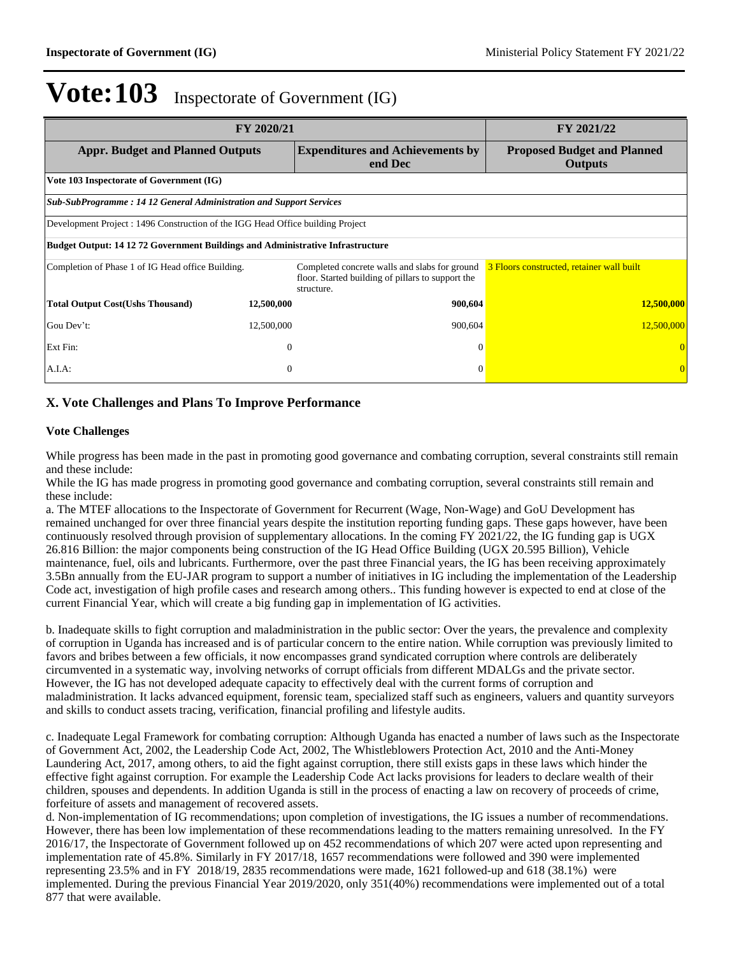| FY 2020/21                                                                            |                |                                                                                                                  | FY 2021/22                                           |
|---------------------------------------------------------------------------------------|----------------|------------------------------------------------------------------------------------------------------------------|------------------------------------------------------|
| <b>Appr. Budget and Planned Outputs</b>                                               |                | <b>Expenditures and Achievements by</b><br>end Dec                                                               | <b>Proposed Budget and Planned</b><br><b>Outputs</b> |
| Vote 103 Inspectorate of Government (IG)                                              |                |                                                                                                                  |                                                      |
| <b>Sub-SubProgramme: 14 12 General Administration and Support Services</b>            |                |                                                                                                                  |                                                      |
| Development Project : 1496 Construction of the IGG Head Office building Project       |                |                                                                                                                  |                                                      |
| <b>Budget Output: 14 12 72 Government Buildings and Administrative Infrastructure</b> |                |                                                                                                                  |                                                      |
| Completion of Phase 1 of IG Head office Building.                                     |                | Completed concrete walls and slabs for ground<br>floor. Started building of pillars to support the<br>structure. | 3 Floors constructed, retainer wall built            |
| <b>Total Output Cost(Ushs Thousand)</b>                                               | 12,500,000     | 900,604                                                                                                          | 12,500,000                                           |
| Gou Dev't:                                                                            | 12,500,000     | 900,604                                                                                                          | 12,500,000                                           |
| Ext Fin:                                                                              | $\overline{0}$ | $\Omega$                                                                                                         |                                                      |
| A.I.A.                                                                                | $\theta$       |                                                                                                                  |                                                      |

### **X. Vote Challenges and Plans To Improve Performance**

#### **Vote Challenges**

While progress has been made in the past in promoting good governance and combating corruption, several constraints still remain and these include:

While the IG has made progress in promoting good governance and combating corruption, several constraints still remain and these include:

a. The MTEF allocations to the Inspectorate of Government for Recurrent (Wage, Non-Wage) and GoU Development has remained unchanged for over three financial years despite the institution reporting funding gaps. These gaps however, have been continuously resolved through provision of supplementary allocations. In the coming FY 2021/22, the IG funding gap is UGX 26.816 Billion: the major components being construction of the IG Head Office Building (UGX 20.595 Billion), Vehicle maintenance, fuel, oils and lubricants. Furthermore, over the past three Financial years, the IG has been receiving approximately 3.5Bn annually from the EU-JAR program to support a number of initiatives in IG including the implementation of the Leadership Code act, investigation of high profile cases and research among others.. This funding however is expected to end at close of the current Financial Year, which will create a big funding gap in implementation of IG activities.

b. Inadequate skills to fight corruption and maladministration in the public sector: Over the years, the prevalence and complexity of corruption in Uganda has increased and is of particular concern to the entire nation. While corruption was previously limited to favors and bribes between a few officials, it now encompasses grand syndicated corruption where controls are deliberately circumvented in a systematic way, involving networks of corrupt officials from different MDALGs and the private sector. However, the IG has not developed adequate capacity to effectively deal with the current forms of corruption and maladministration. It lacks advanced equipment, forensic team, specialized staff such as engineers, valuers and quantity surveyors and skills to conduct assets tracing, verification, financial profiling and lifestyle audits.

c. Inadequate Legal Framework for combating corruption: Although Uganda has enacted a number of laws such as the Inspectorate of Government Act, 2002, the Leadership Code Act, 2002, The Whistleblowers Protection Act, 2010 and the Anti-Money Laundering Act, 2017, among others, to aid the fight against corruption, there still exists gaps in these laws which hinder the effective fight against corruption. For example the Leadership Code Act lacks provisions for leaders to declare wealth of their children, spouses and dependents. In addition Uganda is still in the process of enacting a law on recovery of proceeds of crime, forfeiture of assets and management of recovered assets.

d. Non-implementation of IG recommendations; upon completion of investigations, the IG issues a number of recommendations. However, there has been low implementation of these recommendations leading to the matters remaining unresolved. In the FY 2016/17, the Inspectorate of Government followed up on 452 recommendations of which 207 were acted upon representing and implementation rate of 45.8%. Similarly in FY 2017/18, 1657 recommendations were followed and 390 were implemented representing 23.5% and in FY 2018/19, 2835 recommendations were made, 1621 followed-up and 618 (38.1%) were implemented. During the previous Financial Year 2019/2020, only 351(40%) recommendations were implemented out of a total 877 that were available.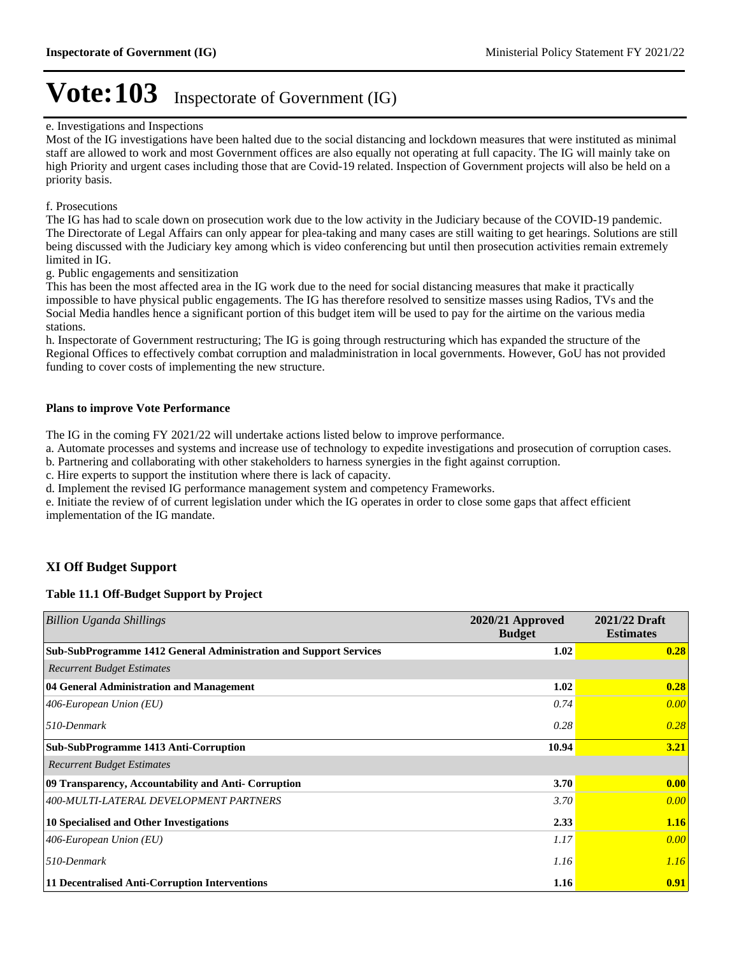#### e. Investigations and Inspections

Most of the IG investigations have been halted due to the social distancing and lockdown measures that were instituted as minimal staff are allowed to work and most Government offices are also equally not operating at full capacity. The IG will mainly take on high Priority and urgent cases including those that are Covid-19 related. Inspection of Government projects will also be held on a priority basis.

#### f. Prosecutions

The IG has had to scale down on prosecution work due to the low activity in the Judiciary because of the COVID-19 pandemic. The Directorate of Legal Affairs can only appear for plea-taking and many cases are still waiting to get hearings. Solutions are still being discussed with the Judiciary key among which is video conferencing but until then prosecution activities remain extremely limited in IG.

#### g. Public engagements and sensitization

This has been the most affected area in the IG work due to the need for social distancing measures that make it practically impossible to have physical public engagements. The IG has therefore resolved to sensitize masses using Radios, TVs and the Social Media handles hence a significant portion of this budget item will be used to pay for the airtime on the various media stations.

h. Inspectorate of Government restructuring; The IG is going through restructuring which has expanded the structure of the Regional Offices to effectively combat corruption and maladministration in local governments. However, GoU has not provided funding to cover costs of implementing the new structure.

#### **Plans to improve Vote Performance**

The IG in the coming FY 2021/22 will undertake actions listed below to improve performance.

a. Automate processes and systems and increase use of technology to expedite investigations and prosecution of corruption cases.

b. Partnering and collaborating with other stakeholders to harness synergies in the fight against corruption.

c. Hire experts to support the institution where there is lack of capacity.

d. Implement the revised IG performance management system and competency Frameworks.

e. Initiate the review of of current legislation under which the IG operates in order to close some gaps that affect efficient implementation of the IG mandate.

## **XI Off Budget Support**

#### **Table 11.1 Off-Budget Support by Project**

| Billion Uganda Shillings                                          | 2020/21 Approved<br><b>Budget</b> | 2021/22 Draft<br><b>Estimates</b> |
|-------------------------------------------------------------------|-----------------------------------|-----------------------------------|
| Sub-SubProgramme 1412 General Administration and Support Services | 1.02                              | 0.28                              |
| <b>Recurrent Budget Estimates</b>                                 |                                   |                                   |
| 04 General Administration and Management                          | 1.02                              | 0.28                              |
| 406-European Union $(EU)$                                         | 0.74                              | 0.00                              |
| 510-Denmark                                                       | 0.28                              | 0.28                              |
| Sub-SubProgramme 1413 Anti-Corruption                             | 10.94                             | 3.21                              |
| <b>Recurrent Budget Estimates</b>                                 |                                   |                                   |
| 09 Transparency, Accountability and Anti- Corruption              | 3.70                              | 0.00                              |
| 400-MULTI-LATERAL DEVELOPMENT PARTNERS                            | 3.70                              | 0.00                              |
| 10 Specialised and Other Investigations                           | 2.33                              | 1.16                              |
| 406-European Union $(EU)$                                         | 1.17                              | 0.00                              |
| 510-Denmark                                                       | 1.16                              | 1.16                              |
| 11 Decentralised Anti-Corruption Interventions                    | 1.16                              | 0.91                              |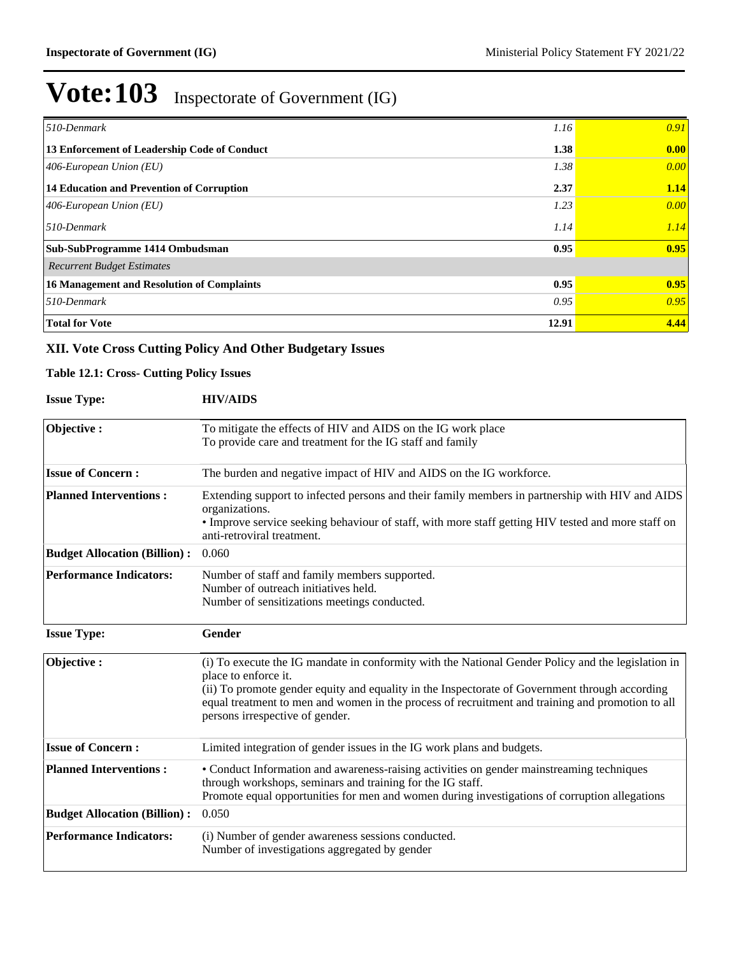| 510-Denmark<br>1.16                                  | 0.91 |
|------------------------------------------------------|------|
| 13 Enforcement of Leadership Code of Conduct<br>1.38 | 0.00 |
| 1.38<br>$406$ -European Union (EU)                   | 0.00 |
| 14 Education and Prevention of Corruption<br>2.37    | 1.14 |
| 1.23<br>$406$ -European Union (EU)                   | 0.00 |
| $510$ -Denmark<br>1.14                               | 1.14 |
| 0.95<br>Sub-SubProgramme 1414 Ombudsman              | 0.95 |
| <b>Recurrent Budget Estimates</b>                    |      |
| 0.95<br>16 Management and Resolution of Complaints   | 0.95 |
| $510$ -Denmark<br>0.95                               | 0.95 |
| <b>Total for Vote</b><br>12.91                       | 4.44 |

## **XII. Vote Cross Cutting Policy And Other Budgetary Issues**

### **Table 12.1: Cross- Cutting Policy Issues**

| <b>Issue Type:</b>                  | <b>HIV/AIDS</b>                                                                                                                                                                                                                                                                                                                                                     |
|-------------------------------------|---------------------------------------------------------------------------------------------------------------------------------------------------------------------------------------------------------------------------------------------------------------------------------------------------------------------------------------------------------------------|
| Objective:                          | To mitigate the effects of HIV and AIDS on the IG work place<br>To provide care and treatment for the IG staff and family                                                                                                                                                                                                                                           |
| <b>Issue of Concern:</b>            | The burden and negative impact of HIV and AIDS on the IG workforce.                                                                                                                                                                                                                                                                                                 |
| <b>Planned Interventions:</b>       | Extending support to infected persons and their family members in partnership with HIV and AIDS<br>organizations.<br>• Improve service seeking behaviour of staff, with more staff getting HIV tested and more staff on<br>anti-retroviral treatment.                                                                                                               |
| <b>Budget Allocation (Billion):</b> | 0.060                                                                                                                                                                                                                                                                                                                                                               |
| <b>Performance Indicators:</b>      | Number of staff and family members supported.<br>Number of outreach initiatives held.<br>Number of sensitizations meetings conducted.                                                                                                                                                                                                                               |
| <b>Issue Type:</b>                  | Gender                                                                                                                                                                                                                                                                                                                                                              |
| Objective:                          | (i) To execute the IG mandate in conformity with the National Gender Policy and the legislation in<br>place to enforce it.<br>(ii) To promote gender equity and equality in the Inspectorate of Government through according<br>equal treatment to men and women in the process of recruitment and training and promotion to all<br>persons irrespective of gender. |
| <b>Issue of Concern:</b>            | Limited integration of gender issues in the IG work plans and budgets.                                                                                                                                                                                                                                                                                              |
| <b>Planned Interventions:</b>       | • Conduct Information and awareness-raising activities on gender mainstreaming techniques<br>through workshops, seminars and training for the IG staff.<br>Promote equal opportunities for men and women during investigations of corruption allegations                                                                                                            |
| <b>Budget Allocation (Billion):</b> | 0.050                                                                                                                                                                                                                                                                                                                                                               |
| <b>Performance Indicators:</b>      | (i) Number of gender awareness sessions conducted.<br>Number of investigations aggregated by gender                                                                                                                                                                                                                                                                 |